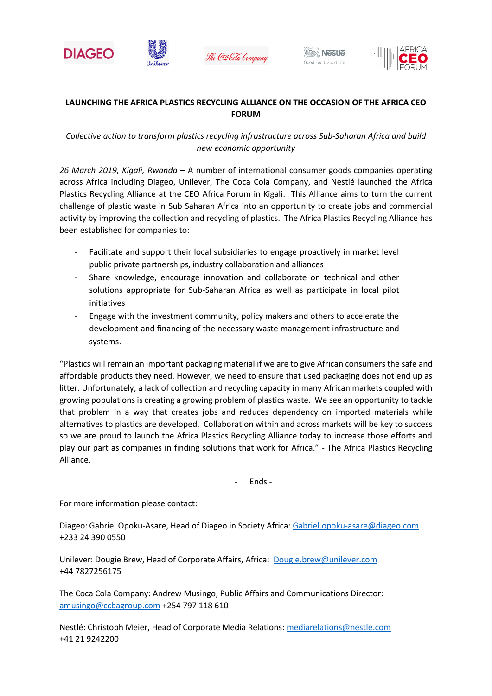







## **LAUNCHING THE AFRICA PLASTICS RECYCLING ALLIANCE ON THE OCCASION OF THE AFRICA CEO FORUM**

## *Collective action to transform plastics recycling infrastructure across Sub-Saharan Africa and build new economic opportunity*

*26 March 2019, Kigali, Rwanda* – A number of international consumer goods companies operating across Africa including Diageo, Unilever, The Coca Cola Company, and Nestlé launched the Africa Plastics Recycling Alliance at the CEO Africa Forum in Kigali. This Alliance aims to turn the current challenge of plastic waste in Sub Saharan Africa into an opportunity to create jobs and commercial activity by improving the collection and recycling of plastics. The Africa Plastics Recycling Alliance has been established for companies to:

- Facilitate and support their local subsidiaries to engage proactively in market level public private partnerships, industry collaboration and alliances
- Share knowledge, encourage innovation and collaborate on technical and other solutions appropriate for Sub-Saharan Africa as well as participate in local pilot initiatives
- Engage with the investment community, policy makers and others to accelerate the development and financing of the necessary waste management infrastructure and systems.

"Plastics will remain an important packaging material if we are to give African consumers the safe and affordable products they need. However, we need to ensure that used packaging does not end up as litter. Unfortunately, a lack of collection and recycling capacity in many African markets coupled with growing populations is creating a growing problem of plastics waste. We see an opportunity to tackle that problem in a way that creates jobs and reduces dependency on imported materials while alternatives to plastics are developed. Collaboration within and across markets will be key to success so we are proud to launch the Africa Plastics Recycling Alliance today to increase those efforts and play our part as companies in finding solutions that work for Africa." - The Africa Plastics Recycling Alliance.

- Ends -

For more information please contact:

Diageo: Gabriel Opoku-Asare, Head of Diageo in Society Africa: [Gabriel.opoku-asare@diageo.com](mailto:Gabriel.opoku-asare@diageo.com) +233 24 390 0550

Unilever: Dougie Brew, Head of Corporate Affairs, Africa: [Dougie.brew@unilever.com](mailto:Dougie.brew@unilever.com) +44 7827256175

The Coca Cola Company: Andrew Musingo, Public Affairs and Communications Director: [amusingo@ccbagroup.com](mailto:amusingo@ccbagroup.com) +254 797 118 610

Nestlé: Christoph Meier, Head of Corporate Media Relations: [mediarelations@nestle.com](mailto:mediarelations@nestle.com)  +41 21 9242200